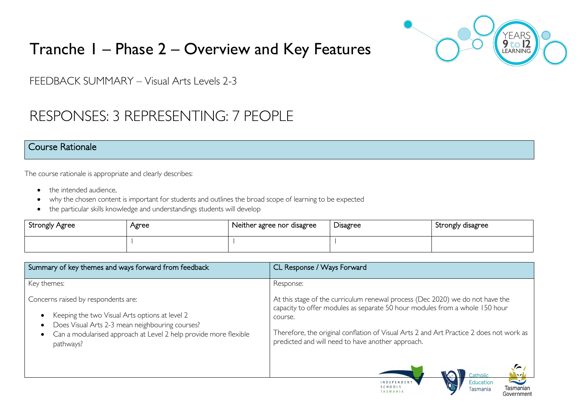

Tasmanian

Government

Tasmania

TASMANIA

# Tranche 1 – Phase 2 – Overview and Key Features

FEEDBACK SUMMARY – Visual Arts Levels 2-3

## RESPONSES: 3 REPRESENTING: 7 PEOPLE

#### Course Rationale

The course rationale is appropriate and clearly describes:

- the intended audience.
- why the chosen content is important for students and outlines the broad scope of learning to be expected
- the particular skills knowledge and understandings students will develop

| <b>Strongly Agree</b> | Agree | Neither agree nor disagree | <b>Disagree</b> | Strongly disagree |
|-----------------------|-------|----------------------------|-----------------|-------------------|
|                       |       |                            |                 |                   |

| Summary of key themes and ways forward from feedback                                                                                                                                                                                                             | CL Response / Ways Forward                                                                                                                                                                                                                                                                                                                        |
|------------------------------------------------------------------------------------------------------------------------------------------------------------------------------------------------------------------------------------------------------------------|---------------------------------------------------------------------------------------------------------------------------------------------------------------------------------------------------------------------------------------------------------------------------------------------------------------------------------------------------|
| Key themes:                                                                                                                                                                                                                                                      | Response:                                                                                                                                                                                                                                                                                                                                         |
| Concerns raised by respondents are:<br>Keeping the two Visual Arts options at level 2<br>$\bullet$<br>Does Visual Arts 2-3 mean neighbouring courses?<br>$\bullet$<br>Can a modularised approach at Level 2 help provide more flexible<br>$\bullet$<br>pathways? | At this stage of the curriculum renewal process (Dec 2020) we do not have the<br>capacity to offer modules as separate 50 hour modules from a whole 150 hour<br>course.<br>Therefore, the original conflation of Visual Arts 2 and Art Practice 2 does not work as<br>predicted and will need to have another approach.<br>Catholic<br>$\sqrt{2}$ |
|                                                                                                                                                                                                                                                                  | <b>RU</b><br>Education<br><b>INDEPENDENT</b><br>SCHOOLS<br><b>Tacmanian</b>                                                                                                                                                                                                                                                                       |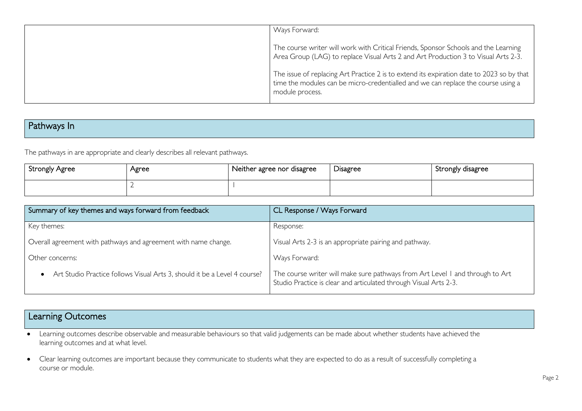| Ways Forward:                                                                                                                                                                                     |
|---------------------------------------------------------------------------------------------------------------------------------------------------------------------------------------------------|
| The course writer will work with Critical Friends, Sponsor Schools and the Learning<br>Area Group (LAG) to replace Visual Arts 2 and Art Production 3 to Visual Arts 2-3.                         |
| The issue of replacing Art Practice 2 is to extend its expiration date to 2023 so by that<br>time the modules can be micro-credentialled and we can replace the course using a<br>module process. |

## Pathways In

The pathways in are appropriate and clearly describes all relevant pathways.

| Strongly Agree | Agree | Neither agree nor disagree | -<br>Disagree | Strongly disagree |
|----------------|-------|----------------------------|---------------|-------------------|
|                |       |                            |               |                   |

| Summary of key themes and ways forward from feedback                                   | CL Response / Ways Forward                                                                                                                         |  |
|----------------------------------------------------------------------------------------|----------------------------------------------------------------------------------------------------------------------------------------------------|--|
| Key themes:                                                                            | Response:                                                                                                                                          |  |
| Overall agreement with pathways and agreement with name change.                        | Visual Arts 2-3 is an appropriate pairing and pathway.                                                                                             |  |
| Other concerns:                                                                        | Ways Forward:                                                                                                                                      |  |
| Art Studio Practice follows Visual Arts 3, should it be a Level 4 course?<br>$\bullet$ | The course writer will make sure pathways from Art Level I and through to Art<br>Studio Practice is clear and articulated through Visual Arts 2-3. |  |

## Learning Outcomes

• Learning outcomes describe observable and measurable behaviours so that valid judgements can be made about whether students have achieved the learning outcomes and at what level.

• Clear learning outcomes are important because they communicate to students what they are expected to do as a result of successfully completing a course or module.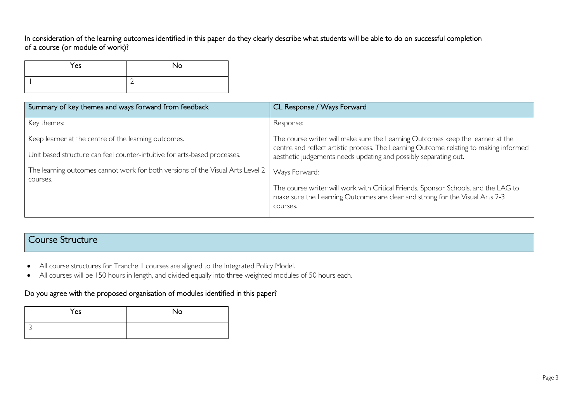#### In consideration of the learning outcomes identified in this paper do they clearly describe what students will be able to do on successful completion of a course (or module of work)?

| Yes | No |
|-----|----|
|     | ∽  |

| Summary of key themes and ways forward from feedback                                       | CL Response / Ways Forward                                                                                                                                                     |  |
|--------------------------------------------------------------------------------------------|--------------------------------------------------------------------------------------------------------------------------------------------------------------------------------|--|
| Key themes:                                                                                | Response:                                                                                                                                                                      |  |
| Keep learner at the centre of the learning outcomes.                                       | The course writer will make sure the Learning Outcomes keep the learner at the<br>centre and reflect artistic process. The Learning Outcome relating to making informed        |  |
| Unit based structure can feel counter-intuitive for arts-based processes.                  | aesthetic judgements needs updating and possibly separating out.                                                                                                               |  |
| The learning outcomes cannot work for both versions of the Visual Arts Level 2<br>courses. | Ways Forward:                                                                                                                                                                  |  |
|                                                                                            | The course writer will work with Critical Friends, Sponsor Schools, and the LAG to<br>make sure the Learning Outcomes are clear and strong for the Visual Arts 2-3<br>courses. |  |

### Course Structure

- All course structures for Tranche 1 courses are aligned to the Integrated Policy Model.
- All courses will be 150 hours in length, and divided equally into three weighted modules of 50 hours each.

#### Do you agree with the proposed organisation of modules identified in this paper?

| Yes | No |
|-----|----|
|     |    |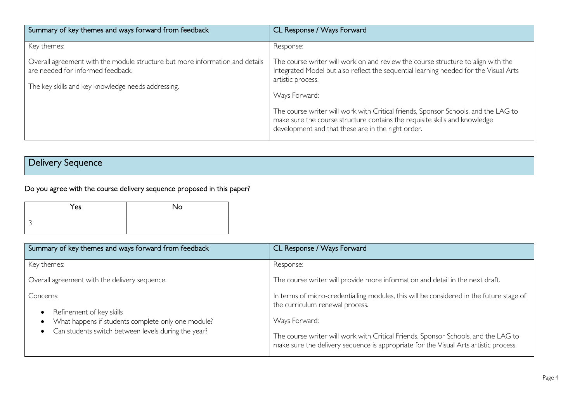| Summary of key themes and ways forward from feedback                                                                                                                    | CL Response / Ways Forward                                                                                                                                                                                                              |
|-------------------------------------------------------------------------------------------------------------------------------------------------------------------------|-----------------------------------------------------------------------------------------------------------------------------------------------------------------------------------------------------------------------------------------|
| Key themes:                                                                                                                                                             | Response:                                                                                                                                                                                                                               |
| Overall agreement with the module structure but more information and details<br>are needed for informed feedback.<br>The key skills and key knowledge needs addressing. | The course writer will work on and review the course structure to align with the<br>Integrated Model but also reflect the sequential learning needed for the Visual Arts<br>artistic process.                                           |
|                                                                                                                                                                         | Ways Forward:<br>The course writer will work with Critical friends, Sponsor Schools, and the LAG to<br>make sure the course structure contains the requisite skills and knowledge<br>development and that these are in the right order. |

## Delivery Sequence

## Do you agree with the course delivery sequence proposed in this paper?

| Yes | <b>No</b> |
|-----|-----------|
|     |           |

| Summary of key themes and ways forward from feedback                                                                                               | CL Response / Ways Forward                                                                                                                                                                                                                                                                                                 |  |
|----------------------------------------------------------------------------------------------------------------------------------------------------|----------------------------------------------------------------------------------------------------------------------------------------------------------------------------------------------------------------------------------------------------------------------------------------------------------------------------|--|
| Key themes:                                                                                                                                        | Response:                                                                                                                                                                                                                                                                                                                  |  |
| Overall agreement with the delivery sequence.                                                                                                      | The course writer will provide more information and detail in the next draft.                                                                                                                                                                                                                                              |  |
| Concerns:<br>Refinement of key skills<br>What happens if students complete only one module?<br>Can students switch between levels during the year? | In terms of micro-credentialling modules, this will be considered in the future stage of<br>the curriculum renewal process.<br>Ways Forward:<br>The course writer will work with Critical Friends, Sponsor Schools, and the LAG to<br>make sure the delivery sequence is appropriate for the Visual Arts artistic process. |  |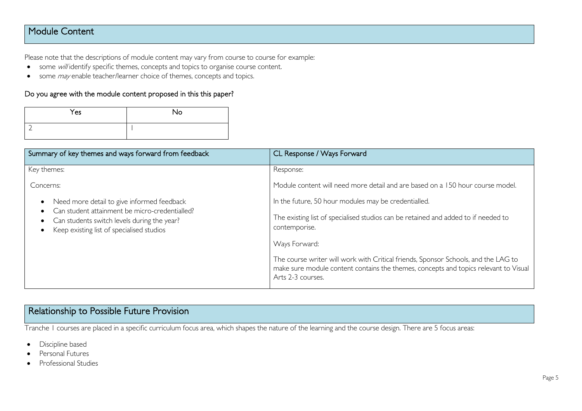### Module Content

Please note that the descriptions of module content may vary from course to course for example:

- some will identify specific themes, concepts and topics to organise course content.
- some *may* enable teacher/learner choice of themes, concepts and topics.

#### Do you agree with the module content proposed in this this paper?

| Yes | <b>No</b> |
|-----|-----------|
|     |           |

| Summary of key themes and ways forward from feedback                                                                                                                                     | CL Response / Ways Forward                                                                                                                                                                      |
|------------------------------------------------------------------------------------------------------------------------------------------------------------------------------------------|-------------------------------------------------------------------------------------------------------------------------------------------------------------------------------------------------|
| Key themes:                                                                                                                                                                              | Response:                                                                                                                                                                                       |
| Concerns:                                                                                                                                                                                | Module content will need more detail and are based on a 150 hour course model.                                                                                                                  |
| Need more detail to give informed feedback<br>Can student attainment be micro-credentialled?<br>Can students switch levels during the year?<br>Keep existing list of specialised studios | In the future, 50 hour modules may be credentialled.                                                                                                                                            |
|                                                                                                                                                                                          | The existing list of specialised studios can be retained and added to if needed to<br>contemporise.                                                                                             |
|                                                                                                                                                                                          | Ways Forward:                                                                                                                                                                                   |
|                                                                                                                                                                                          | The course writer will work with Critical friends, Sponsor Schools, and the LAG to<br>make sure module content contains the themes, concepts and topics relevant to Visual<br>Arts 2-3 courses. |

## Relationship to Possible Future Provision

Tranche 1 courses are placed in a specific curriculum focus area, which shapes the nature of the learning and the course design. There are 5 focus areas:

- Discipline based
- Personal Futures
- Professional Studies